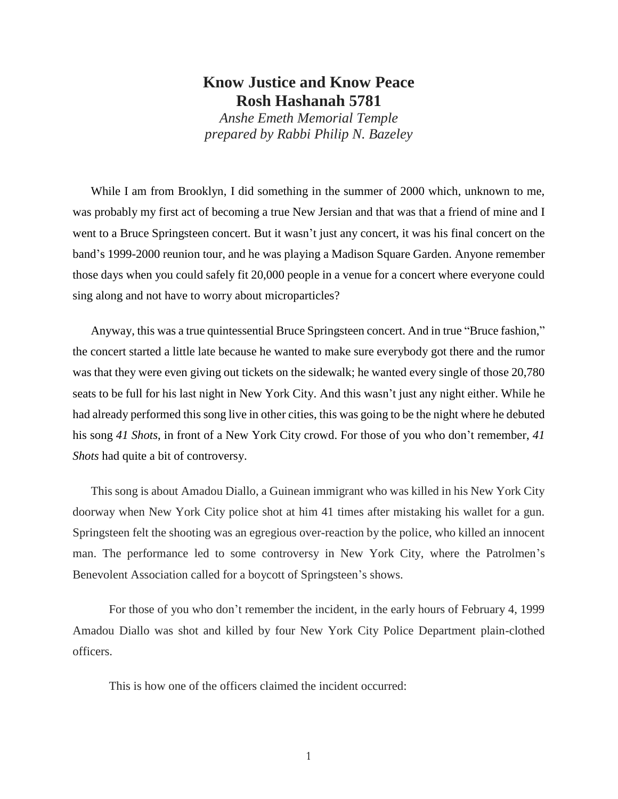## **Know Justice and Know Peace Rosh Hashanah 5781**

*Anshe Emeth Memorial Temple prepared by Rabbi Philip N. Bazeley*

While I am from Brooklyn, I did something in the summer of 2000 which, unknown to me, was probably my first act of becoming a true New Jersian and that was that a friend of mine and I went to a Bruce Springsteen concert. But it wasn't just any concert, it was his final concert on the band's 1999-2000 reunion tour, and he was playing a Madison Square Garden. Anyone remember those days when you could safely fit 20,000 people in a venue for a concert where everyone could sing along and not have to worry about microparticles?

Anyway, this was a true quintessential Bruce Springsteen concert. And in true "Bruce fashion," the concert started a little late because he wanted to make sure everybody got there and the rumor was that they were even giving out tickets on the sidewalk; he wanted every single of those 20,780 seats to be full for his last night in New York City. And this wasn't just any night either. While he had already performed this song live in other cities, this was going to be the night where he debuted his song *41 Shots*, in front of a New York City crowd. For those of you who don't remember, *41 Shots* had quite a bit of controversy.

This song is about Amadou Diallo, a Guinean immigrant who was killed in his New York City doorway when New York City police shot at him 41 times after mistaking his wallet for a gun. Springsteen felt the shooting was an egregious over-reaction by the police, who killed an innocent man. The performance led to some controversy in New York City, where the Patrolmen's Benevolent Association called for a boycott of Springsteen's shows.

For those of you who don't remember the incident, in the early hours of February 4, 1999 Amadou Diallo was shot and killed by four New York City Police Department plain-clothed officers.

This is how one of the officers claimed the incident occurred: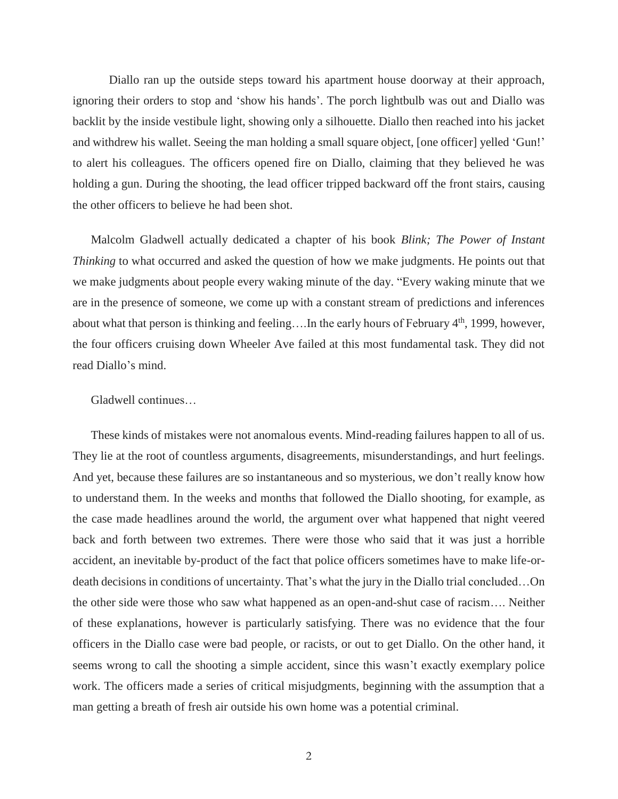Diallo ran up the outside steps toward his apartment house doorway at their approach, ignoring their orders to stop and 'show his hands'. The porch lightbulb was out and Diallo was backlit by the inside vestibule light, showing only a silhouette. Diallo then reached into his jacket and withdrew his wallet. Seeing the man holding a small square object, [one officer] yelled 'Gun!' to alert his colleagues. The officers opened fire on Diallo, claiming that they believed he was holding a gun. During the shooting, the lead officer tripped backward off the front stairs, causing the other officers to believe he had been shot.

Malcolm Gladwell actually dedicated a chapter of his book *Blink; The Power of Instant Thinking* to what occurred and asked the question of how we make judgments. He points out that we make judgments about people every waking minute of the day. "Every waking minute that we are in the presence of someone, we come up with a constant stream of predictions and inferences about what that person is thinking and feeling....In the early hours of February  $4<sup>th</sup>$ , 1999, however, the four officers cruising down Wheeler Ave failed at this most fundamental task. They did not read Diallo's mind.

## Gladwell continues…

These kinds of mistakes were not anomalous events. Mind-reading failures happen to all of us. They lie at the root of countless arguments, disagreements, misunderstandings, and hurt feelings. And yet, because these failures are so instantaneous and so mysterious, we don't really know how to understand them. In the weeks and months that followed the Diallo shooting, for example, as the case made headlines around the world, the argument over what happened that night veered back and forth between two extremes. There were those who said that it was just a horrible accident, an inevitable by-product of the fact that police officers sometimes have to make life-ordeath decisions in conditions of uncertainty. That's what the jury in the Diallo trial concluded…On the other side were those who saw what happened as an open-and-shut case of racism…. Neither of these explanations, however is particularly satisfying. There was no evidence that the four officers in the Diallo case were bad people, or racists, or out to get Diallo. On the other hand, it seems wrong to call the shooting a simple accident, since this wasn't exactly exemplary police work. The officers made a series of critical misjudgments, beginning with the assumption that a man getting a breath of fresh air outside his own home was a potential criminal.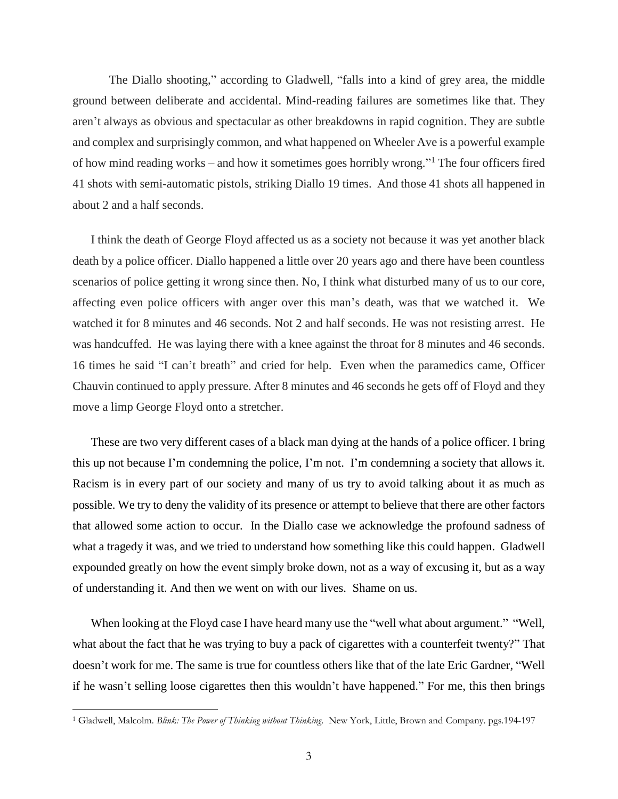The Diallo shooting," according to Gladwell, "falls into a kind of grey area, the middle ground between deliberate and accidental. Mind-reading failures are sometimes like that. They aren't always as obvious and spectacular as other breakdowns in rapid cognition. They are subtle and complex and surprisingly common, and what happened on Wheeler Ave is a powerful example of how mind reading works – and how it sometimes goes horribly wrong." <sup>1</sup> The four officers fired 41 shots with semi-automatic pistols, striking Diallo 19 times. And those 41 shots all happened in about 2 and a half seconds.

I think the death of George Floyd affected us as a society not because it was yet another black death by a police officer. Diallo happened a little over 20 years ago and there have been countless scenarios of police getting it wrong since then. No, I think what disturbed many of us to our core, affecting even police officers with anger over this man's death, was that we watched it. We watched it for 8 minutes and 46 seconds. Not 2 and half seconds. He was not resisting arrest. He was handcuffed. He was laying there with a knee against the throat for 8 minutes and 46 seconds. 16 times he said "I can't breath" and cried for help. Even when the paramedics came, Officer Chauvin continued to apply pressure. After 8 minutes and 46 seconds he gets off of Floyd and they move a limp George Floyd onto a stretcher.

These are two very different cases of a black man dying at the hands of a police officer. I bring this up not because I'm condemning the police, I'm not. I'm condemning a society that allows it. Racism is in every part of our society and many of us try to avoid talking about it as much as possible. We try to deny the validity of its presence or attempt to believe that there are other factors that allowed some action to occur. In the Diallo case we acknowledge the profound sadness of what a tragedy it was, and we tried to understand how something like this could happen. Gladwell expounded greatly on how the event simply broke down, not as a way of excusing it, but as a way of understanding it. And then we went on with our lives. Shame on us.

When looking at the Floyd case I have heard many use the "well what about argument." "Well, what about the fact that he was trying to buy a pack of cigarettes with a counterfeit twenty?" That doesn't work for me. The same is true for countless others like that of the late Eric Gardner, "Well if he wasn't selling loose cigarettes then this wouldn't have happened." For me, this then brings

 $\overline{a}$ 

<sup>1</sup> Gladwell, Malcolm. *Blink: The Power of Thinking without Thinking.* New York, Little, Brown and Company. pgs.194-197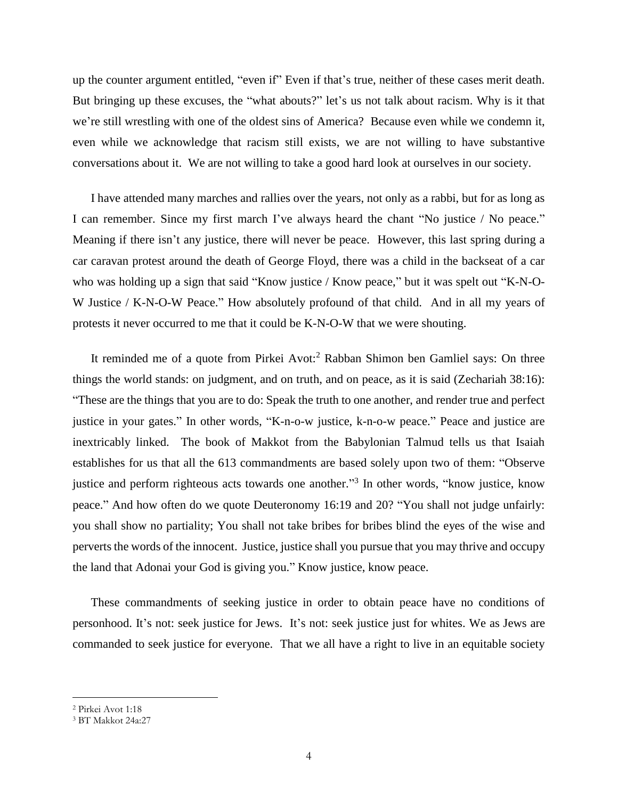up the counter argument entitled, "even if" Even if that's true, neither of these cases merit death. But bringing up these excuses, the "what abouts?" let's us not talk about racism. Why is it that we're still wrestling with one of the oldest sins of America? Because even while we condemn it, even while we acknowledge that racism still exists, we are not willing to have substantive conversations about it. We are not willing to take a good hard look at ourselves in our society.

I have attended many marches and rallies over the years, not only as a rabbi, but for as long as I can remember. Since my first march I've always heard the chant "No justice / No peace." Meaning if there isn't any justice, there will never be peace. However, this last spring during a car caravan protest around the death of George Floyd, there was a child in the backseat of a car who was holding up a sign that said "Know justice / Know peace," but it was spelt out "K-N-O-W Justice / K-N-O-W Peace." How absolutely profound of that child. And in all my years of protests it never occurred to me that it could be K-N-O-W that we were shouting.

It reminded me of a quote from Pirkei Avot:<sup>2</sup> Rabban Shimon ben Gamliel says: On three things the world stands: on judgment, and on truth, and on peace, as it is said (Zechariah 38:16): "These are the things that you are to do: Speak the truth to one another, and render true and perfect justice in your gates." In other words, "K-n-o-w justice, k-n-o-w peace." Peace and justice are inextricably linked. The book of Makkot from the Babylonian Talmud tells us that Isaiah establishes for us that all the 613 commandments are based solely upon two of them: "Observe justice and perform righteous acts towards one another."<sup>3</sup> In other words, "know justice, know peace." And how often do we quote Deuteronomy 16:19 and 20? "You shall not judge unfairly: you shall show no partiality; You shall not take bribes for bribes blind the eyes of the wise and perverts the words of the innocent. Justice, justice shall you pursue that you may thrive and occupy the land that Adonai your God is giving you." Know justice, know peace.

These commandments of seeking justice in order to obtain peace have no conditions of personhood. It's not: seek justice for Jews. It's not: seek justice just for whites. We as Jews are commanded to seek justice for everyone. That we all have a right to live in an equitable society

 $\overline{a}$ 

<sup>2</sup> Pirkei Avot 1:18

<sup>3</sup> BT Makkot 24a:27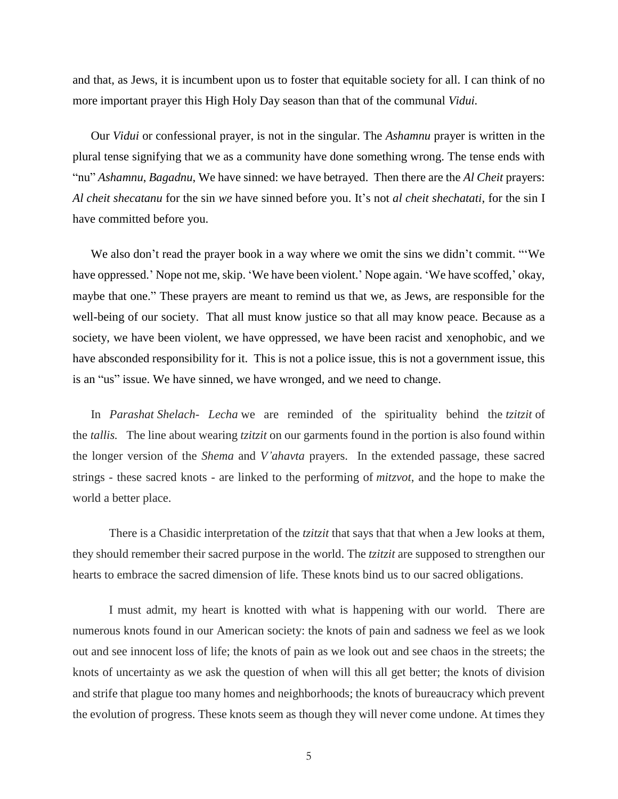and that, as Jews, it is incumbent upon us to foster that equitable society for all. I can think of no more important prayer this High Holy Day season than that of the communal *Vidui.*

Our *Vidui* or confessional prayer, is not in the singular. The *Ashamnu* prayer is written in the plural tense signifying that we as a community have done something wrong. The tense ends with "nu" *Ashamnu*, *Bagadnu*, We have sinned: we have betrayed. Then there are the *Al Cheit* prayers: *Al cheit shecatanu* for the sin *we* have sinned before you. It's not *al cheit shechatati*, for the sin I have committed before you.

We also don't read the prayer book in a way where we omit the sins we didn't commit. "We have oppressed.' Nope not me, skip. 'We have been violent.' Nope again. 'We have scoffed,' okay, maybe that one." These prayers are meant to remind us that we, as Jews, are responsible for the well-being of our society. That all must know justice so that all may know peace. Because as a society, we have been violent, we have oppressed, we have been racist and xenophobic, and we have absconded responsibility for it. This is not a police issue, this is not a government issue, this is an "us" issue. We have sinned, we have wronged, and we need to change.

In *Parashat Shelach- Lecha* we are reminded of the spirituality behind the *tzitzit* of the *tallis.* The line about wearing *tzitzit* on our garments found in the portion is also found within the longer version of the *Shema* and *V'ahavta* prayers. In the extended passage, these sacred strings - these sacred knots - are linked to the performing of *mitzvot*, and the hope to make the world a better place.

There is a Chasidic interpretation of the *tzitzit* that says that that when a Jew looks at them, they should remember their sacred purpose in the world. The *tzitzit* are supposed to strengthen our hearts to embrace the sacred dimension of life. These knots bind us to our sacred obligations.

I must admit, my heart is knotted with what is happening with our world. There are numerous knots found in our American society: the knots of pain and sadness we feel as we look out and see innocent loss of life; the knots of pain as we look out and see chaos in the streets; the knots of uncertainty as we ask the question of when will this all get better; the knots of division and strife that plague too many homes and neighborhoods; the knots of bureaucracy which prevent the evolution of progress. These knots seem as though they will never come undone. At times they